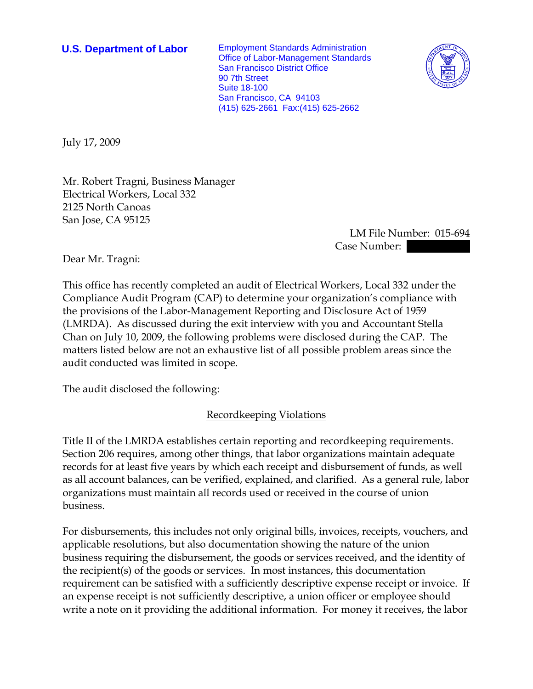**U.S. Department of Labor** Employment Standards Administration Office of Labor-Management Standards San Francisco District Office 90 7th Street Suite 18-100 San Francisco, CA 94103 (415) 625-2661 Fax:(415) 625-2662



July 17, 2009

Mr. Robert Tragni, Business Manager Electrical Workers, Local 332 2125 North Canoas San Jose, CA 95125

> LM File Number: 015-694 Case Number:

Dear Mr. Tragni:

This office has recently completed an audit of Electrical Workers, Local 332 under the Compliance Audit Program (CAP) to determine your organization's compliance with the provisions of the Labor-Management Reporting and Disclosure Act of 1959 (LMRDA). As discussed during the exit interview with you and Accountant Stella Chan on July 10, 2009, the following problems were disclosed during the CAP. The matters listed below are not an exhaustive list of all possible problem areas since the audit conducted was limited in scope.

The audit disclosed the following:

Recordkeeping Violations

Title II of the LMRDA establishes certain reporting and recordkeeping requirements. Section 206 requires, among other things, that labor organizations maintain adequate records for at least five years by which each receipt and disbursement of funds, as well as all account balances, can be verified, explained, and clarified. As a general rule, labor organizations must maintain all records used or received in the course of union business.

For disbursements, this includes not only original bills, invoices, receipts, vouchers, and applicable resolutions, but also documentation showing the nature of the union business requiring the disbursement, the goods or services received, and the identity of the recipient(s) of the goods or services. In most instances, this documentation requirement can be satisfied with a sufficiently descriptive expense receipt or invoice. If an expense receipt is not sufficiently descriptive, a union officer or employee should write a note on it providing the additional information. For money it receives, the labor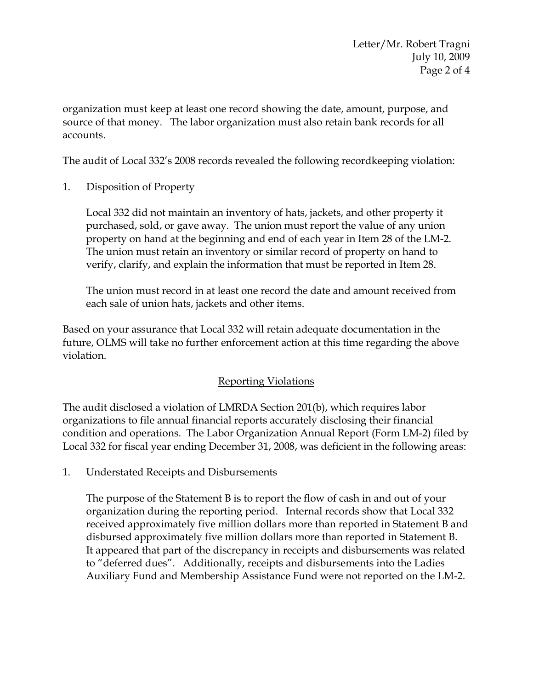organization must keep at least one record showing the date, amount, purpose, and source of that money. The labor organization must also retain bank records for all accounts.

The audit of Local 332's 2008 records revealed the following recordkeeping violation:

1. Disposition of Property

Local 332 did not maintain an inventory of hats, jackets, and other property it purchased, sold, or gave away. The union must report the value of any union property on hand at the beginning and end of each year in Item 28 of the LM-2. The union must retain an inventory or similar record of property on hand to verify, clarify, and explain the information that must be reported in Item 28.

The union must record in at least one record the date and amount received from each sale of union hats, jackets and other items.

Based on your assurance that Local 332 will retain adequate documentation in the future, OLMS will take no further enforcement action at this time regarding the above violation.

# Reporting Violations

The audit disclosed a violation of LMRDA Section 201(b), which requires labor organizations to file annual financial reports accurately disclosing their financial condition and operations. The Labor Organization Annual Report (Form LM-2) filed by Local 332 for fiscal year ending December 31, 2008, was deficient in the following areas:

1. Understated Receipts and Disbursements

The purpose of the Statement B is to report the flow of cash in and out of your organization during the reporting period. Internal records show that Local 332 received approximately five million dollars more than reported in Statement B and disbursed approximately five million dollars more than reported in Statement B. It appeared that part of the discrepancy in receipts and disbursements was related to "deferred dues". Additionally, receipts and disbursements into the Ladies Auxiliary Fund and Membership Assistance Fund were not reported on the LM-2.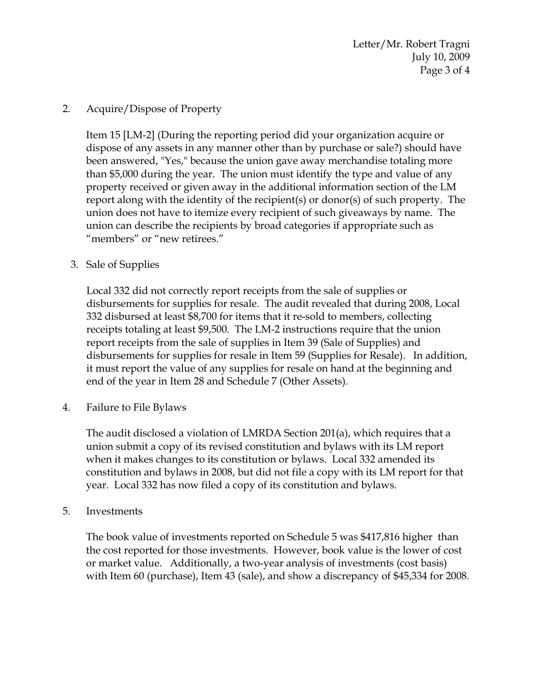Letter/Mr. Robert Tragni July 10, 2009 Page 3 of 4

### 2. Acquire/Dispose of Property

Item 15 [LM-2] (During the reporting period did your organization acquire or dispose of any assets in any manner other than by purchase or sale?) should have been answered, "Yes," because the union gave away merchandise totaling more than \$5,000 during the year. The union must identify the type and value of any property received or given away in the additional information section of the LM report along with the identity of the recipient(s) or donor(s) of such property. The union does not have to itemize every recipient of such giveaways by name. The union can describe the recipients by broad categories if appropriate such as "members" or "new retirees."

## 3. Sale of Supplies

Local 332 did not correctly report receipts from the sale of supplies or disbursements for supplies for resale. The audit revealed that during 2008, Local 332 disbursed at least \$8,700 for items that it re-sold to members, collecting receipts totaling at least \$9,500. The LM-2 instructions require that the union report receipts from the sale of supplies in Item 39 (Sale of Supplies) and disbursements for supplies for resale in Item 59 (Supplies for Resale). In addition, it must report the value of any supplies for resale on hand at the beginning and end of the year in Item 28 and Schedule 7 (Other Assets).

4. Failure to File Bylaws

The audit disclosed a violation of LMRDA Section 201(a), which requires that a union submit a copy of its revised constitution and bylaws with its LM report when it makes changes to its constitution or bylaws. Local 332 amended its constitution and bylaws in 2008, but did not file a copy with its LM report for that year. Local 332 has now filed a copy of its constitution and bylaws.

### 5. Investments

The book value of investments reported on Schedule 5 was \$417,816 higher than the cost reported for those investments. However, book value is the lower of cost or market value. Additionally, a two-year analysis of investments (cost basis) with Item 60 (purchase), Item 43 (sale), and show a discrepancy of \$45,334 for 2008.